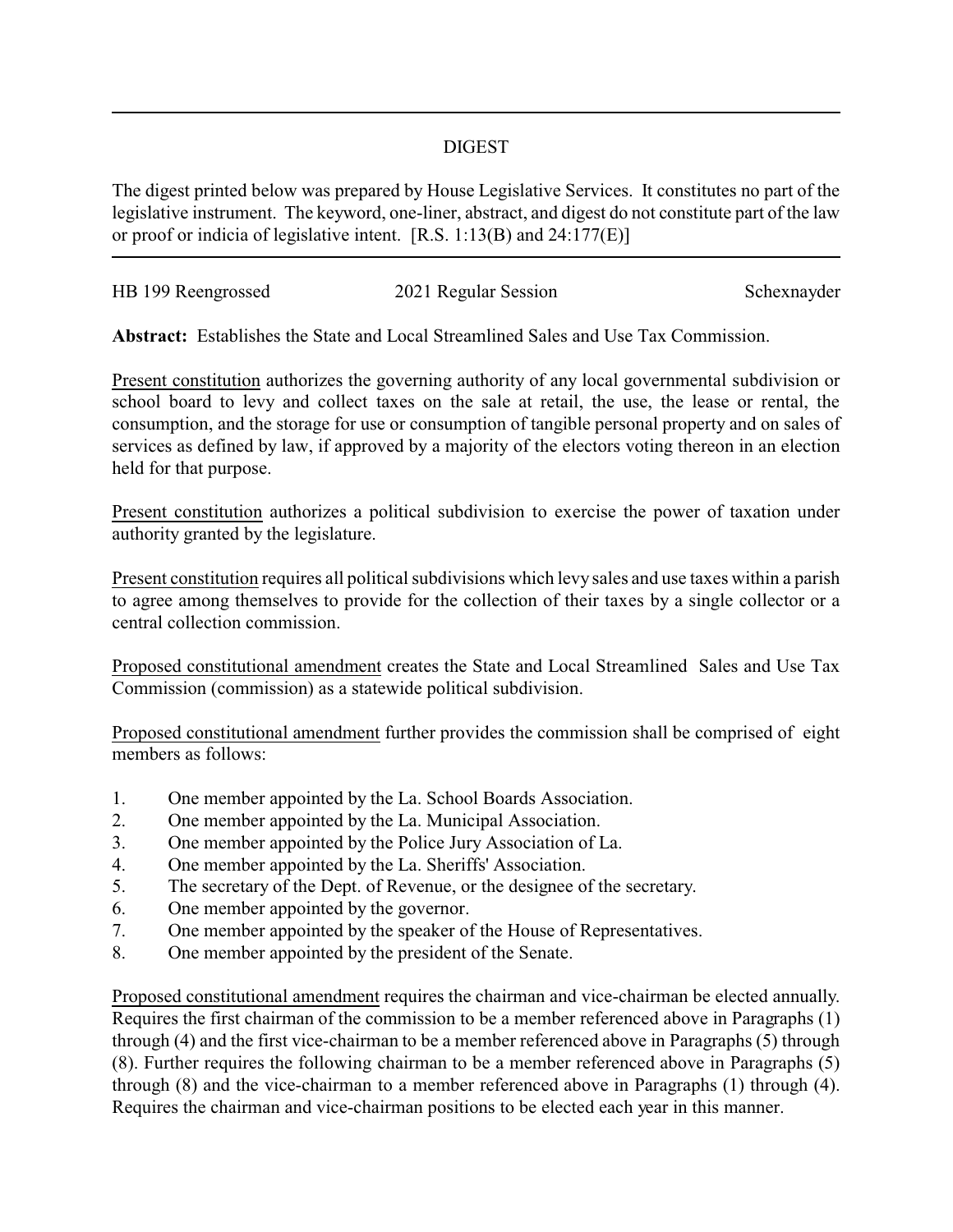## DIGEST

The digest printed below was prepared by House Legislative Services. It constitutes no part of the legislative instrument. The keyword, one-liner, abstract, and digest do not constitute part of the law or proof or indicia of legislative intent. [R.S. 1:13(B) and 24:177(E)]

| HB 199 Reengrossed | 2021 Regular Session | Schexnayder |
|--------------------|----------------------|-------------|
|                    |                      |             |

**Abstract:** Establishes the State and Local Streamlined Sales and Use Tax Commission.

Present constitution authorizes the governing authority of any local governmental subdivision or school board to levy and collect taxes on the sale at retail, the use, the lease or rental, the consumption, and the storage for use or consumption of tangible personal property and on sales of services as defined by law, if approved by a majority of the electors voting thereon in an election held for that purpose.

Present constitution authorizes a political subdivision to exercise the power of taxation under authority granted by the legislature.

Present constitution requires all political subdivisions which levy sales and use taxes within a parish to agree among themselves to provide for the collection of their taxes by a single collector or a central collection commission.

Proposed constitutional amendment creates the State and Local Streamlined Sales and Use Tax Commission (commission) as a statewide political subdivision.

Proposed constitutional amendment further provides the commission shall be comprised of eight members as follows:

- 1. One member appointed by the La. School Boards Association.
- 2. One member appointed by the La. Municipal Association.
- 3. One member appointed by the Police Jury Association of La.
- 4. One member appointed by the La. Sheriffs' Association.
- 5. The secretary of the Dept. of Revenue, or the designee of the secretary.
- 6. One member appointed by the governor.
- 7. One member appointed by the speaker of the House of Representatives.
- 8. One member appointed by the president of the Senate.

Proposed constitutional amendment requires the chairman and vice-chairman be elected annually. Requires the first chairman of the commission to be a member referenced above in Paragraphs (1) through (4) and the first vice-chairman to be a member referenced above in Paragraphs (5) through (8). Further requires the following chairman to be a member referenced above in Paragraphs (5) through (8) and the vice-chairman to a member referenced above in Paragraphs (1) through (4). Requires the chairman and vice-chairman positions to be elected each year in this manner.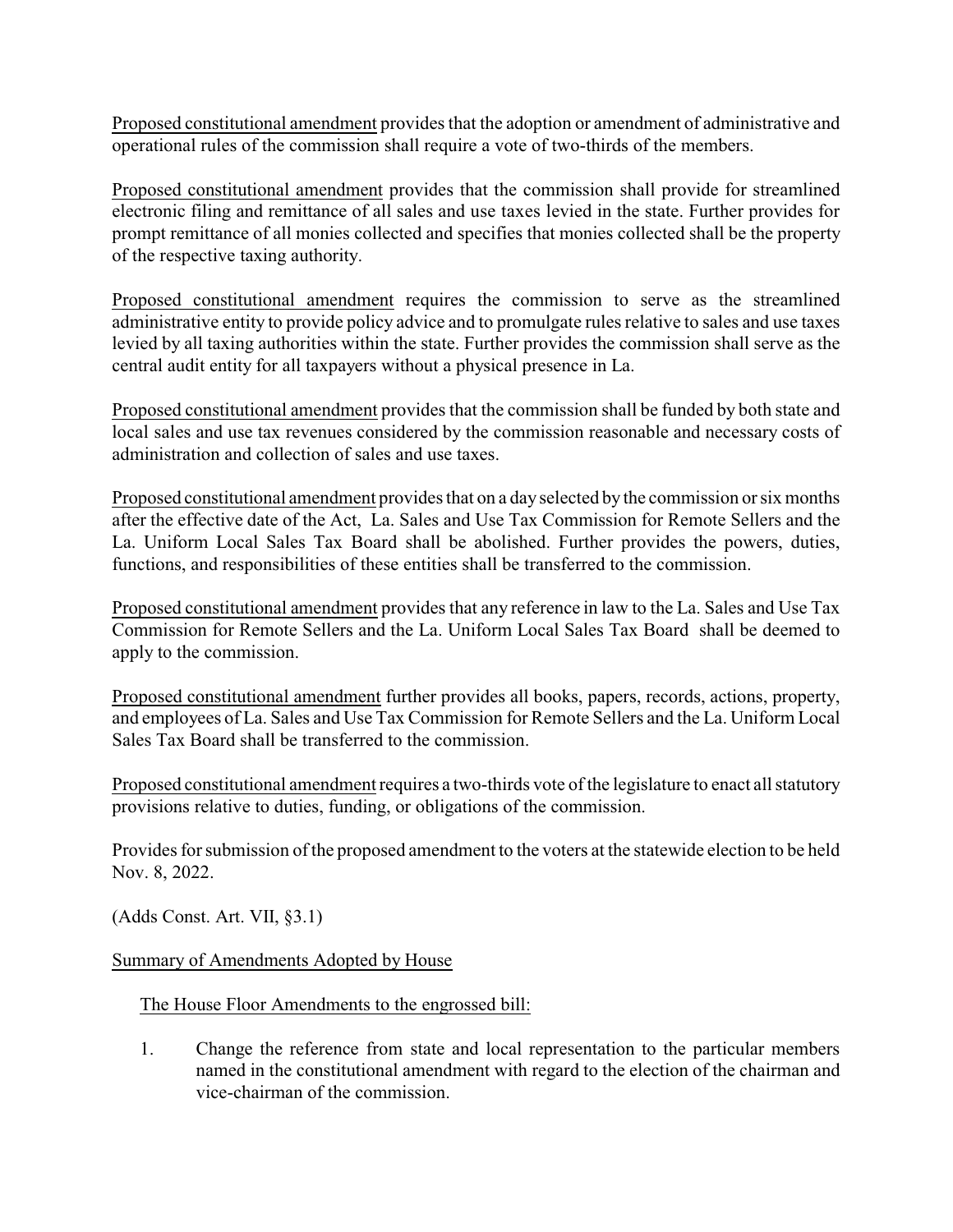Proposed constitutional amendment provides that the adoption or amendment of administrative and operational rules of the commission shall require a vote of two-thirds of the members.

Proposed constitutional amendment provides that the commission shall provide for streamlined electronic filing and remittance of all sales and use taxes levied in the state. Further provides for prompt remittance of all monies collected and specifies that monies collected shall be the property of the respective taxing authority.

Proposed constitutional amendment requires the commission to serve as the streamlined administrative entity to provide policy advice and to promulgate rules relative to sales and use taxes levied by all taxing authorities within the state. Further provides the commission shall serve as the central audit entity for all taxpayers without a physical presence in La.

Proposed constitutional amendment provides that the commission shall be funded by both state and local sales and use tax revenues considered by the commission reasonable and necessary costs of administration and collection of sales and use taxes.

Proposed constitutional amendment provides that on a day selected by the commission or six months after the effective date of the Act, La. Sales and Use Tax Commission for Remote Sellers and the La. Uniform Local Sales Tax Board shall be abolished. Further provides the powers, duties, functions, and responsibilities of these entities shall be transferred to the commission.

Proposed constitutional amendment provides that any reference in law to the La. Sales and Use Tax Commission for Remote Sellers and the La. Uniform Local Sales Tax Board shall be deemed to apply to the commission.

Proposed constitutional amendment further provides all books, papers, records, actions, property, and employees of La. Sales and Use Tax Commission for Remote Sellers and the La. Uniform Local Sales Tax Board shall be transferred to the commission.

Proposed constitutional amendment requires a two-thirds vote of the legislature to enact all statutory provisions relative to duties, funding, or obligations of the commission.

Provides for submission of the proposed amendment to the voters at the statewide election to be held Nov. 8, 2022.

(Adds Const. Art. VII, §3.1)

## Summary of Amendments Adopted by House

## The House Floor Amendments to the engrossed bill:

1. Change the reference from state and local representation to the particular members named in the constitutional amendment with regard to the election of the chairman and vice-chairman of the commission.